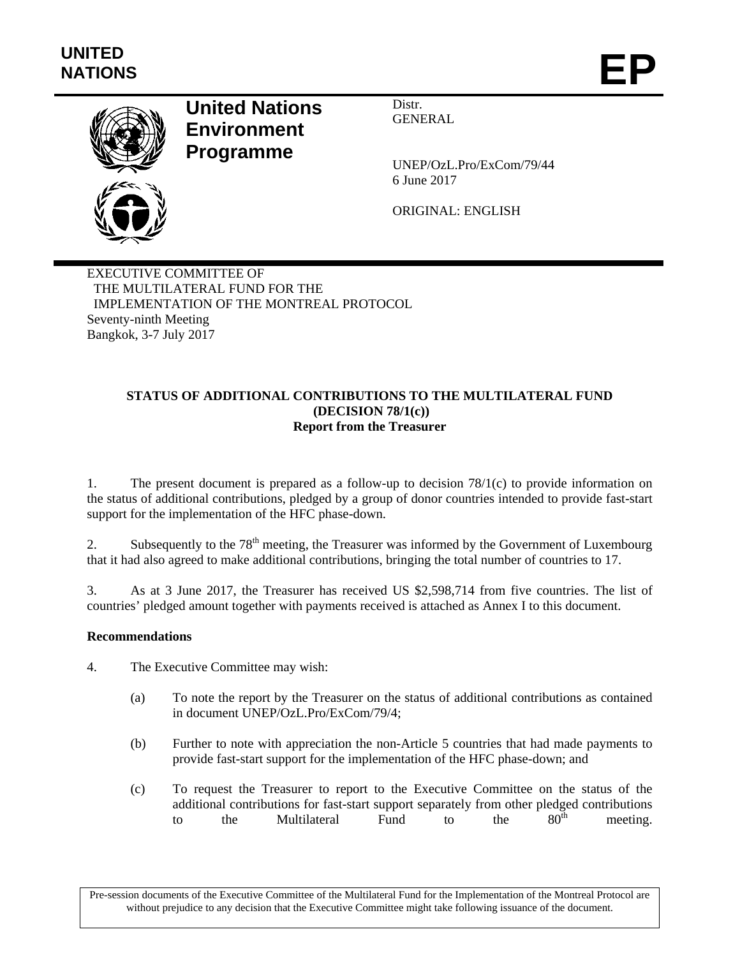

# **United Nations Environment Programme**

Distr. GENERAL

UNEP/OzL.Pro/ExCom/79/44 6 June 2017

ORIGINAL: ENGLISH

EXECUTIVE COMMITTEE OF THE MULTILATERAL FUND FOR THE IMPLEMENTATION OF THE MONTREAL PROTOCOL Seventy-ninth Meeting Bangkok, 3-7 July 2017

### **STATUS OF ADDITIONAL CONTRIBUTIONS TO THE MULTILATERAL FUND (DECISION 78/1(c)) Report from the Treasurer**

1. The present document is prepared as a follow-up to decision 78/1(c) to provide information on the status of additional contributions, pledged by a group of donor countries intended to provide fast-start support for the implementation of the HFC phase-down.

2. Subsequently to the 78<sup>th</sup> meeting, the Treasurer was informed by the Government of Luxembourg that it had also agreed to make additional contributions, bringing the total number of countries to 17.

3. As at 3 June 2017, the Treasurer has received US \$2,598,714 from five countries. The list of countries' pledged amount together with payments received is attached as Annex I to this document.

### **Recommendations**

- 4. The Executive Committee may wish:
	- (a) To note the report by the Treasurer on the status of additional contributions as contained in document UNEP/OzL.Pro/ExCom/79/4;
	- (b) Further to note with appreciation the non-Article 5 countries that had made payments to provide fast-start support for the implementation of the HFC phase-down; and
	- (c) To request the Treasurer to report to the Executive Committee on the status of the additional contributions for fast-start support separately from other pledged contributions<br>to the Multilateral Fund to the 80<sup>th</sup> meeting to the Multilateral Fund to the  $80^{th}$  meeting.

Pre-session documents of the Executive Committee of the Multilateral Fund for the Implementation of the Montreal Protocol are without prejudice to any decision that the Executive Committee might take following issuance of the document.